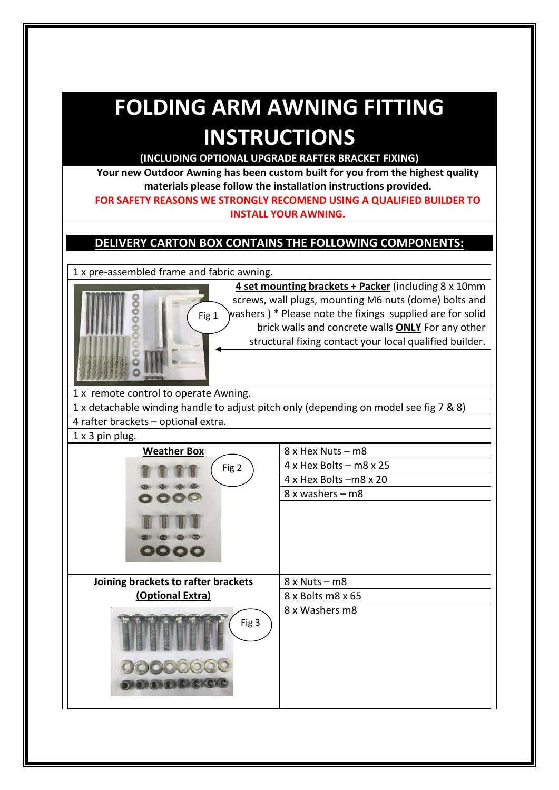# **FOLDING ARM AWNING FITTING INSTRUCTIONS**

**(INCLUDING OPTIONAL UPGRADE RAFTER BRACKET FIXING)**

**Your new Outdoor Awning has been custom built for you from the highest quality materials please follow the installation instructions provided.**

**FOR SAFETY REASONS WE STRONGLY RECOMEND USING A QUALIFIED BUILDER TO INSTALL YOUR AWNING.**

#### **DELIVERY CARTON BOX CONTAINS THE FOLLOWING COMPONENTS:**

1 x pre-assembled frame and fabric awning.

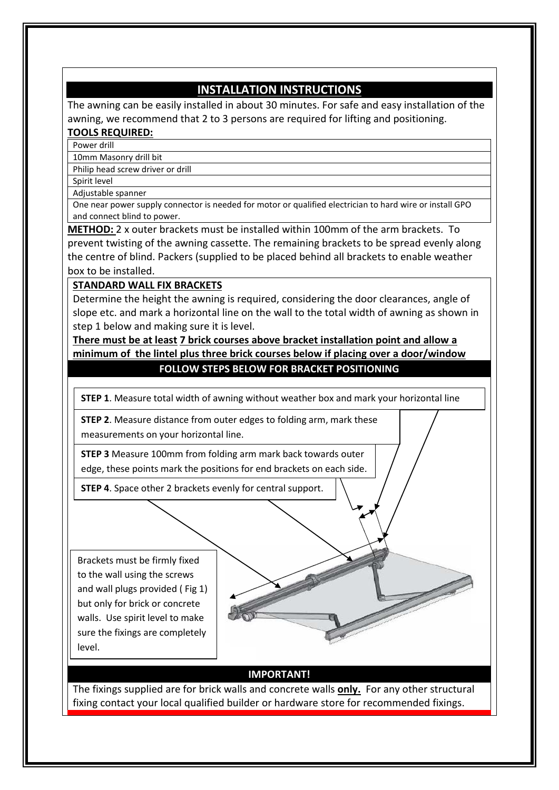#### **INSTALLATION INSTRUCTIONS**

The awning can be easily installed in about 30 minutes. For safe and easy installation of the awning, we recommend that 2 to 3 persons are required for lifting and positioning.

#### **TOOLS REQUIRED:**

Power drill

10mm Masonry drill bit Philip head screw driver or drill

Spirit level

Adjustable spanner

One near power supply connector is needed for motor or qualified electrician to hard wire or install GPO and connect blind to power.

**METHOD:** 2 x outer brackets must be installed within 100mm of the arm brackets. To prevent twisting of the awning cassette. The remaining brackets to be spread evenly along the centre of blind. Packers (supplied to be placed behind all brackets to enable weather box to be installed.

#### **STANDARD WALL FIX BRACKETS**

Determine the height the awning is required, considering the door clearances, angle of slope etc. and mark a horizontal line on the wall to the total width of awning as shown in step 1 below and making sure it is level.

#### **There must be at least 7 brick courses above bracket installation point and allow a minimum of the lintel plus three brick courses below if placing over a door/window FOLLOW STEPS BELOW FOR BRACKET POSITIONING**

**STEP 1**. Measure total width of awning without weather box and mark your horizontal line

**STEP 2**. Measure distance from outer edges to folding arm, mark these measurements on your horizontal line.

**STEP 3** Measure 100mm from folding arm mark back towards outer edge, these points mark the positions for end brackets on each side.

**STEP 4**. Space other 2 brackets evenly for central support.

Brackets must be firmly fixed to the wall using the screws and wall plugs provided ( Fig 1) but only for brick or concrete walls. Use spirit level to make sure the fixings are completely level.



#### **IMPORTANT!**

The fixings supplied are for brick walls and concrete walls **only.** For any other structural fixing contact your local qualified builder or hardware store for recommended fixings.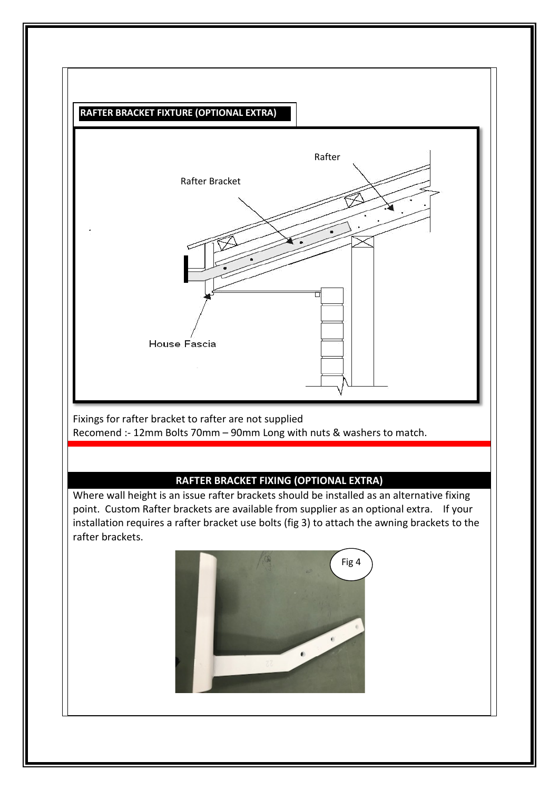

Fixings for rafter bracket to rafter are not supplied Recomend :- 12mm Bolts 70mm – 90mm Long with nuts & washers to match.

#### **RAFTER BRACKET FIXING (OPTIONAL EXTRA)**

Where wall height is an issue rafter brackets should be installed as an alternative fixing point. Custom Rafter brackets are available from supplier as an optional extra. If your installation requires a rafter bracket use bolts (fig 3) to attach the awning brackets to the rafter brackets.

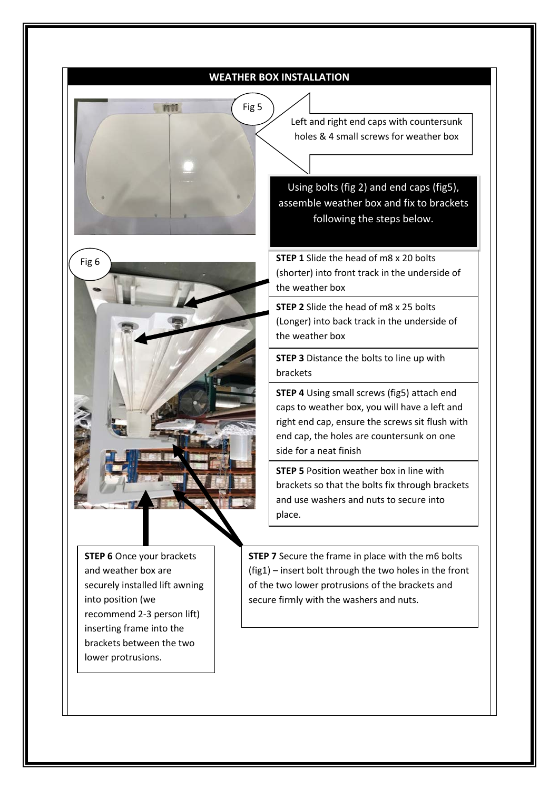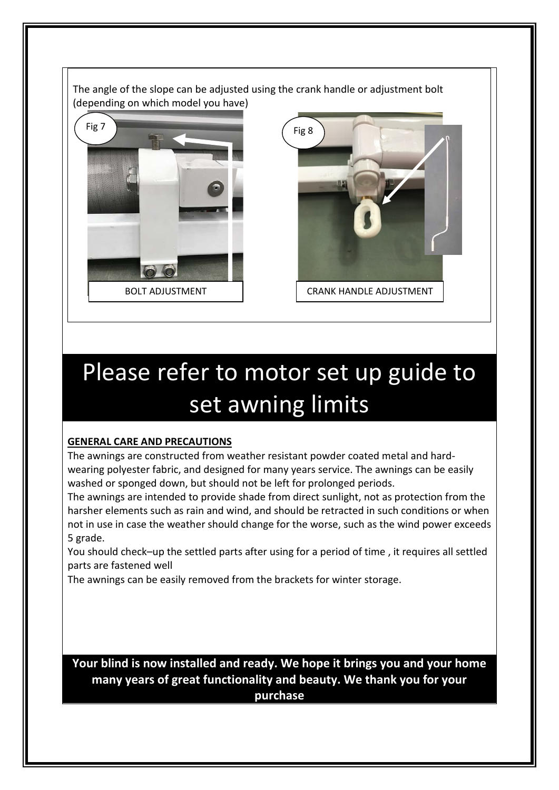The angle of the slope can be adjusted using the crank handle or adjustment bolt (depending on which model you have)



BOLT ADJUSTMENT **FOLLOW CRANK HANDLE ADJUSTMENT** 

# Please refer to motor set up guide to set awning limits

#### **GENERAL CARE AND PRECAUTIONS**

The awnings are constructed from weather resistant powder coated metal and hardwearing polyester fabric, and designed for many years service. The awnings can be easily washed or sponged down, but should not be left for prolonged periods.

The awnings are intended to provide shade from direct sunlight, not as protection from the harsher elements such as rain and wind, and should be retracted in such conditions or when not in use in case the weather should change for the worse, such as the wind power exceeds 5 grade.

You should check–up the settled parts after using for a period of time , it requires all settled parts are fastened well

The awnings can be easily removed from the brackets for winter storage.

**Your blind is now installed and ready. We hope it brings you and your home many years of great functionality and beauty. We thank you for your purchase**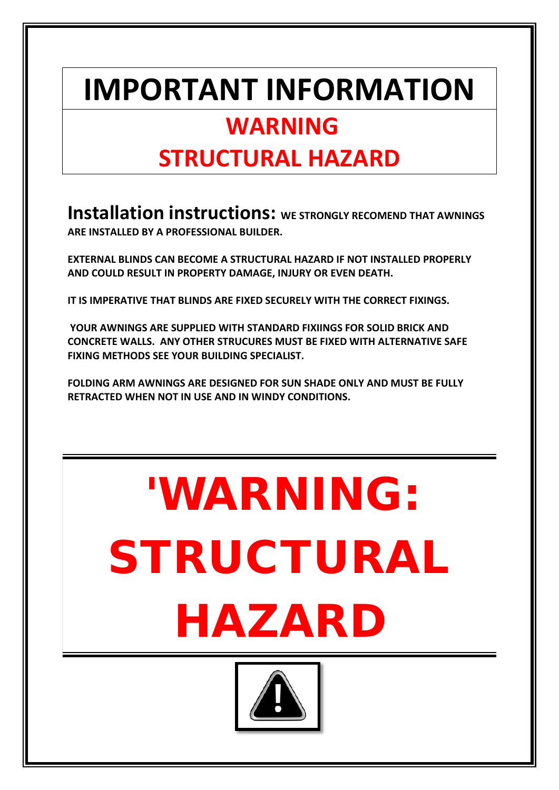# **IMPORTANT INFORMATION**

### **WARNING**

## **STRUCTURAL HAZARD**

**Installation instructions:** WE STRONGLY RECOMEND THAT AWNINGS **ARE INSTALLED BY A PROFESSIONAL BUILDER.**

**EXTERNAL BLINDS CAN BECOME A STRUCTURAL HAZARD IF NOT INSTALLED PROPERLY AND COULD RESULT IN PROPERTY DAMAGE, INJURY OR EVEN DEATH.**

**IT IS IMPERATIVE THAT BLINDS ARE FIXED SECURELY WITH THE CORRECT FIXINGS.**

**YOUR AWNINGS ARE SUPPLIED WITH STANDARD FIXIINGS FOR SOLID BRICK AND CONCRETE WALLS. ANY OTHER STRUCURES MUST BE FIXED WITH ALTERNATIVE SAFE FIXING METHODS SEE YOUR BUILDING SPECIALIST.**

**FOLDING ARM AWNINGS ARE DESIGNED FOR SUN SHADE ONLY AND MUST BE FULLY RETRACTED WHEN NOT IN USE AND IN WINDY CONDITIONS.** 

# 'WARNING: STRUCTURAL HAZARD